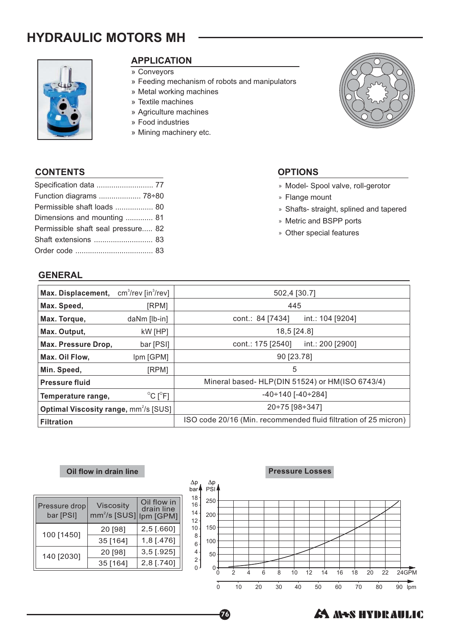# **HYDRAULIC MOTORS MH**



# **APPLICATION**

- » Conveyors
- » Feeding mechanism of robots and manipulators
- » Metal working machines
- » Textile machines
- » Agriculture machines
- » Food industries
- » Mining machinery etc.



### **CONTENTS OPTIONS**

| Specification data  77             |  |
|------------------------------------|--|
| Function diagrams  78÷80           |  |
| Permissible shaft loads  80        |  |
| Dimensions and mounting  81        |  |
| Permissible shaft seal pressure 82 |  |
| Shaft extensions  83               |  |
|                                    |  |

# **GENERAL**

- » Model- Spool valve, roll-gerotor
- » Flange mount
- » Shafts- straight, splined and tapered
- » Metric and BSPP ports
- » Other special features

| Max. Displacement,                                     | $cm3/rev$ [in $3/rev$ ]      | 502,4 [30.7]                                                    |  |  |
|--------------------------------------------------------|------------------------------|-----------------------------------------------------------------|--|--|
| Max. Speed,                                            | [RPM]                        | 445                                                             |  |  |
| Max. Torque,                                           | daNm [lb-in]                 | cont.: 84 [7434]<br>int.: 104 [9204]                            |  |  |
| Max. Output,                                           | kW [HP]                      | 18,5 [24.8]                                                     |  |  |
| Max. Pressure Drop,                                    | bar [PSI]                    | cont.: 175 [2540]<br>int.: 200 [2900]                           |  |  |
| Max. Oil Flow,                                         | Ipm [GPM]                    | 90 [23.78]                                                      |  |  |
| Min. Speed,                                            | [RPM]                        | 5                                                               |  |  |
| <b>Pressure fluid</b>                                  |                              | Mineral based- HLP(DIN 51524) or HM(ISO 6743/4)                 |  |  |
| Temperature range,                                     | $^{\circ}$ C [ $^{\circ}$ F] | $-40 \div 140$ [ $-40 \div 284$ ]                               |  |  |
| <b>Optimal Viscosity range, mm<sup>2</sup>/s [SUS]</b> |                              | 20÷75 [98÷347]                                                  |  |  |
| <b>Filtration</b>                                      |                              | ISO code 20/16 (Min. recommended fluid filtration of 25 micron) |  |  |

76

#### **Oil flow in drain line**

| Pressure drop<br>bar [PSI] | <b>Viscosity</b><br>mm <sup>2</sup> /s [SUS] Ipm [GPM] | Oil flow in<br>drain line |
|----------------------------|--------------------------------------------------------|---------------------------|
| 100 [1450]                 | 20 [98]                                                | 2,5 [.660]                |
|                            | 35 [164]                                               | 1,8 [.476]                |
| 140 [2030]                 | 20 [98]                                                | $3,5$ [.925]              |
|                            | 35 [164]                                               | 2,8 [.740]                |



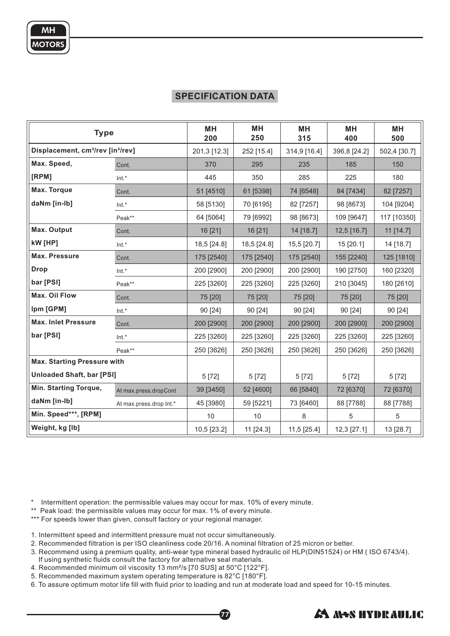# **SPECIFICATION DATA**

| <b>Type</b>                                               |                         | MН<br>200    | MН<br>250   | <b>MH</b><br>315 | MН<br>400    | <b>MH</b><br>500 |
|-----------------------------------------------------------|-------------------------|--------------|-------------|------------------|--------------|------------------|
| Displacement, cm <sup>3</sup> /rev [in <sup>3</sup> /rev] |                         | 201,3 [12.3] | 252 [15.4]  | 314,9 [16.4]     | 396,8 [24.2] | 502,4 [30.7]     |
| Max. Speed,                                               | Cont.                   | 370          | 295         | 235              | 185          | 150              |
| [RPM]                                                     | Int.*                   | 445          | 350         | 285              | 225          | 180              |
| Max. Torque                                               | Cont.                   | 51 [4510]    | 61 [5398]   | 74 [6548]        | 84 [7434]    | 82 [7257]        |
| daNm [in-lb]                                              | Int.*                   | 58 [5130]    | 70 [6195]   | 82 [7257]        | 98 [8673]    | 104 [9204]       |
|                                                           | Peak**                  | 64 [5064]    | 79 [6992]   | 98 [8673]        | 109 [9647]   | 117 [10350]      |
| <b>Max. Output</b>                                        | Cont.                   | 16 [21]      | 16 [21]     | 14 [18.7]        | 12,5 [16.7]  | 11 [14.7]        |
| kW [HP]                                                   | $Int.*$                 | 18,5 [24.8]  | 18,5 [24.8] | 15,5 [20.7]      | 15 [20.1]    | 14 [18.7]        |
| <b>Max. Pressure</b>                                      | Cont.                   | 175 [2540]   | 175 [2540]  | 175 [2540]       | 155 [2240]   | 125 [1810]       |
| <b>Drop</b>                                               | Int.*                   | 200 [2900]   | 200 [2900]  | 200 [2900]       | 190 [2750]   | 160 [2320]       |
| bar [PSI]                                                 | Peak**                  | 225 [3260]   | 225 [3260]  | 225 [3260]       | 210 [3045]   | 180 [2610]       |
| Max. Oil Flow                                             | Cont.                   | 75 [20]      | 75 [20]     | 75 [20]          | 75 [20]      | 75 [20]          |
| Ipm [GPM]                                                 | $Int.*$                 | 90 [24]      | 90 [24]     | 90 [24]          | 90 [24]      | 90 [24]          |
| <b>Max. Inlet Pressure</b>                                | Cont.                   | 200 [2900]   | 200 [2900]  | 200 [2900]       | 200 [2900]   | 200 [2900]       |
| bar [PSI]                                                 | $Int.*$                 | 225 [3260]   | 225 [3260]  | 225 [3260]       | 225 [3260]   | 225 [3260]       |
|                                                           | Peak**                  | 250 [3626]   | 250 [3626]  | 250 [3626]       | 250 [3626]   | 250 [3626]       |
| <b>Max. Starting Pressure with</b>                        |                         |              |             |                  |              |                  |
| <b>Unloaded Shaft, bar [PSI]</b>                          |                         | 5 [72]       | 5[72]       | 5[72]            | 5 [72]       | 5[72]            |
| Min. Starting Torque,                                     | At max.press.dropCont   | 39 [3450]    | 52 [4600]   | 66 [5840]        | 72 [6370]    | 72 [6370]        |
| daNm [in-lb]                                              | At max.press.drop Int.* | 45 [3980]    | 59 [5221]   | 73 [6460]        | 88 [7788]    | 88 [7788]        |
| Min. Speed***, [RPM]                                      |                         | 10           | 10          | 8                | 5            | 5                |
| Weight, kg [lb]                                           |                         | 10,5 [23.2]  | 11 [24.3]   | 11,5 [25.4]      | 12,3 [27.1]  | 13 [28.7]        |

\* Intermittent operation: the permissible values may occur for max. 10% of every minute.

\*\* Peak load: the permissible values may occur for max. 1% of every minute.

\*\*\* For speeds lower than given, consult factory or your regional manager.

1. Intermittent speed and intermittent pressure must not occur simultaneously.

2. Recommended filtration is per ISO cleanliness code 20/16. A nominal filtration of 25 micron or better.

3. Recommend using a premium quality, anti-wear type mineral based hydraulic oil HLP(DIN51524) or HM ( ISO 6743/4).

77

- If using synthetic fluids consult the factory for alternative seal materials.
- 4. Recommended minimum oil viscosity 13 mm²/s [70 SUS] at 50°C [122°F].
- 5. Recommended maximum system operating temperature is 82°C [180°F].

6. To assure optimum motor life fill with fluid prior to loading and run at moderate load and speed for 10-15 minutes.

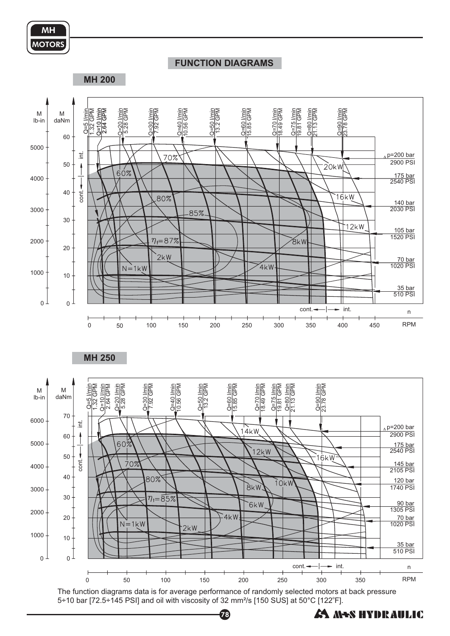

### **FUNCTION DIAGRAMS**

**MH 200**



The function diagrams data is for average performance of randomly selected motors at back pressure 5÷10 bar [72.5÷145 PSI] and oil with viscosity of 32 mm<sup>2</sup>/s [150 SUS] at 50°C [122°F].

78

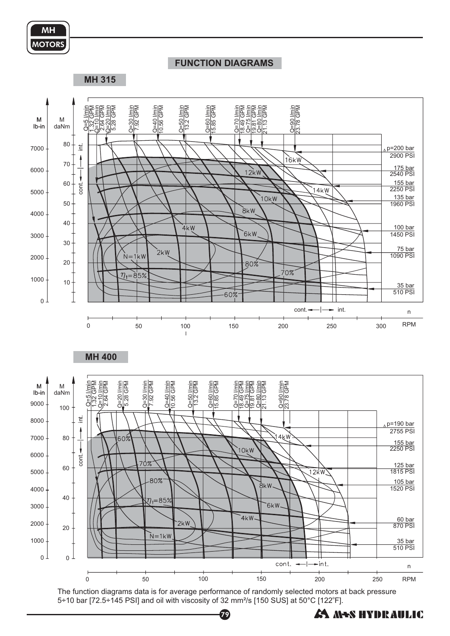

#### **FUNCTION DIAGRAMS**

**MH 315**



The function diagrams data is for average performance of randomly selected motors at back pressure 5÷10 bar [72.5÷145 PSI] and oil with viscosity of 32 mm<sup>2</sup>/s [150 SUS] at 50°C [122°F].

79

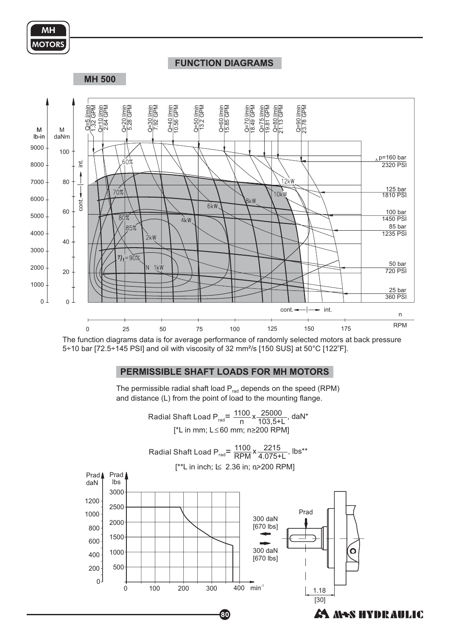

#### **FUNCTION DIAGRAMS**

**MH 500**



The function diagrams data is for average performance of randomly selected motors at back pressure 5÷10 bar [72.5÷145 PSI] and oil with viscosity of 32 mm<sup>2</sup>/s [150 SUS] at 50°C [122°F].

#### **PERMISSIBLE SHAFT LOADS FOR MH MOTORS**

The permissible radial shaft load  $P_{rad}$  depends on the speed (RPM) and distance (L) from the point of load to the mounting flange.

> Radial Shaft Load P<sub>rad</sub>=  $\frac{1100}{n}x\frac{25000}{103,5+L}$ , daN\* 25000 103,5+L [\*L in mm; L≤60 mm; n≥200 RPM]

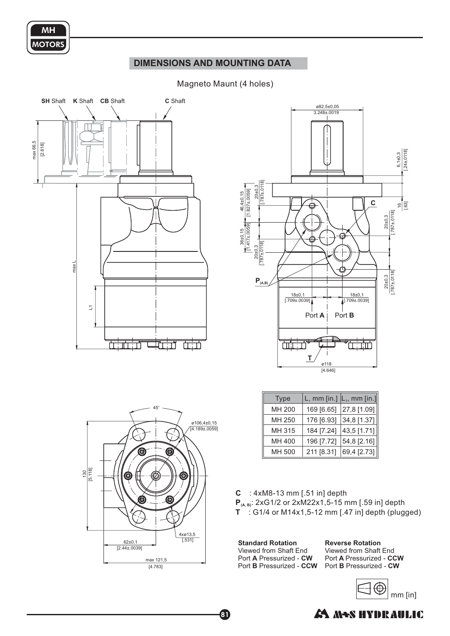

## **DIMENSIONS AND MOUNTING DATA**

#### Magneto Maunt (4 holes)







| <b>Type</b> | L, mm [in.] $\vert L_1$ , mm [in.] |             |
|-------------|------------------------------------|-------------|
| MH 200      | 169 [6.65]                         | 27,8 [1.09] |
| MH 250      | 176 [6.93]                         | 34,8 [1.37] |
| MH 315      | 184 [7.24]                         | 43,5 [1.71] |
| MH 400      | 196 [7.72]                         | 54,8 [2.16] |
| MH 500      | 211 [8.31]                         | 69,4 [2.73] |

- **C** : 4xM8-13 mm [.51 in] depth
- **P**<sub>(A, B)</sub>: 2xG1/2 or 2xM22x1,5-15 mm [.59 in] depth
- **T** : G1/4 or M14x1,5-12 mm [.47 in] depth (plugged)

**Standard Rotation** Port A Pressurized - CW Port **B** Pressurized - CCW Viewed from Shaft End

81

**Reverse Rotation** Port A Pressurized - CCW Port **B** Pressurized - CW Viewed from Shaft End



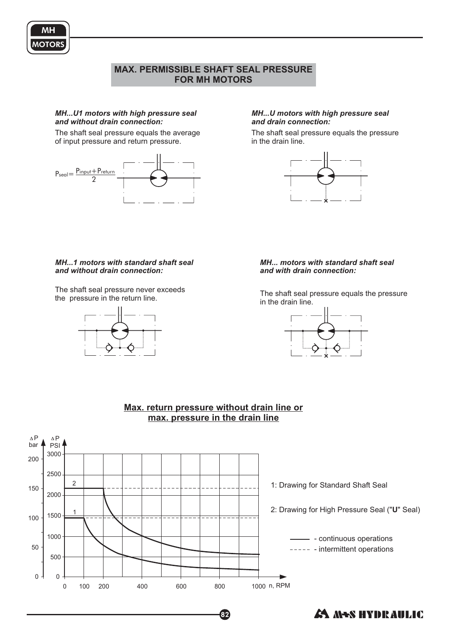# **MAX. PERMISSIBLE SHAFT SEAL PRESSURE FOR MH MOTORS**

#### *MH...U1 motors with high pressure seal and without drain connection:*

The shaft seal pressure equals the average of input pressure and return pressure.



#### *MH...U motors with high pressure seal and drain connection:*

The shaft seal pressure equals the pressure in the drain line.



#### *MH...1 motors with standard shaft seal and without drain connection:*

The shaft seal pressure never exceeds<br>the pressure in the return line.



#### *MH... motors with standard shaft seal and with drain connection:*

The shaft seal pressure equals the pressure in the drain line.





82

# **Max. return pressure without drain line or max. pressure in the drain line**